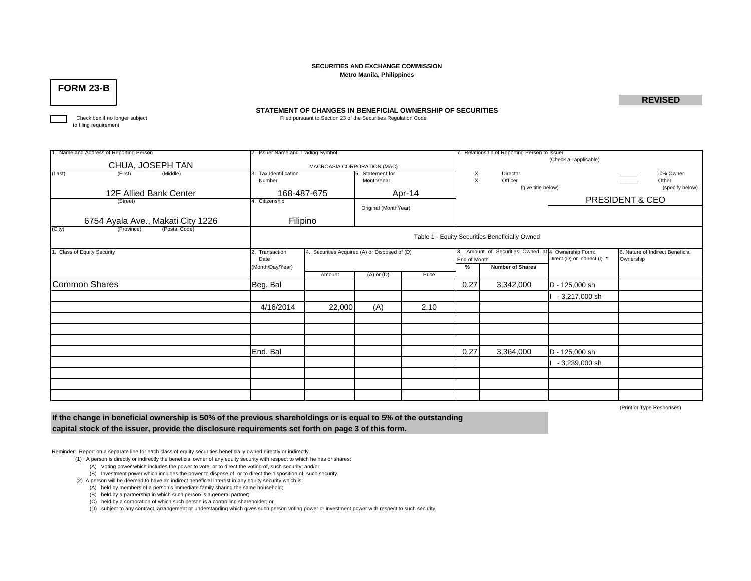### **SECURITIES AND EXCHANGE COMMISSIONMetro Manila, Philippines**

## **FORM 23-B**

**REVISED**

#### **STATEMENT OF CHANGES IN BENEFICIAL OWNERSHIP OF SECURITIES**

Check box if no longer subject **Filed pursuant to Section 23 of the Securities Regulation Code** 

to filing requirement

| 1. Name and Address of Reporting Person | 2. Issuer Name and Trading Symbol              |                                               |                                |       | 7. Relationship of Reporting Person to Issuer |                               |                                                      |                                               |  |  |  |
|-----------------------------------------|------------------------------------------------|-----------------------------------------------|--------------------------------|-------|-----------------------------------------------|-------------------------------|------------------------------------------------------|-----------------------------------------------|--|--|--|
| CHUA, JOSEPH TAN                        | MACROASIA CORPORATION (MAC)                    |                                               |                                |       | (Check all applicable)                        |                               |                                                      |                                               |  |  |  |
| (Last)<br>(Middle)<br>(First)           | . Tax Identification<br>Number                 |                                               | 5. Statement for<br>Month/Year |       | X<br>$\times$                                 | Director<br>Officer           |                                                      | 10% Owner<br>Other                            |  |  |  |
| 12F Allied Bank Center                  | 168-487-675                                    |                                               | Apr-14                         |       |                                               | (give title below)            |                                                      | (specify below)                               |  |  |  |
| (Street)                                | 4. Citizenship                                 |                                               | Original (MonthYear)           |       |                                               |                               |                                                      | PRESIDENT & CEO                               |  |  |  |
| 6754 Ayala Ave., Makati City 1226       | Filipino                                       |                                               |                                |       |                                               |                               |                                                      |                                               |  |  |  |
| (City)<br>(Postal Code)<br>(Province)   | Table 1 - Equity Securities Beneficially Owned |                                               |                                |       |                                               |                               |                                                      |                                               |  |  |  |
| <b>Class of Equity Security</b>         | 2. Transaction<br>Date                         | 4. Securities Acquired (A) or Disposed of (D) |                                |       | End of Month                                  | 3. Amount of Securities Owned | at 4 Ownership Form:<br>Direct (D) or Indirect (I) * | 6. Nature of Indirect Beneficial<br>Ownership |  |  |  |
|                                         | (Month/Day/Year)                               | Amount                                        | $(A)$ or $(D)$                 | Price | %                                             | <b>Number of Shares</b>       |                                                      |                                               |  |  |  |
| <b>Common Shares</b>                    | Beg. Bal                                       |                                               |                                |       | 0.27                                          | 3,342,000                     | D - 125,000 sh                                       |                                               |  |  |  |
|                                         |                                                |                                               |                                |       |                                               |                               | - 3,217,000 sh                                       |                                               |  |  |  |
|                                         | 4/16/2014                                      | 22,000                                        | (A)                            | 2.10  |                                               |                               |                                                      |                                               |  |  |  |
|                                         |                                                |                                               |                                |       |                                               |                               |                                                      |                                               |  |  |  |
|                                         |                                                |                                               |                                |       |                                               |                               |                                                      |                                               |  |  |  |
|                                         |                                                |                                               |                                |       |                                               |                               |                                                      |                                               |  |  |  |
|                                         | End. Bal                                       |                                               |                                |       | 0.27                                          | 3,364,000                     | D - 125,000 sh                                       |                                               |  |  |  |
|                                         |                                                |                                               |                                |       |                                               |                               | $-3,239,000$ sh                                      |                                               |  |  |  |
|                                         |                                                |                                               |                                |       |                                               |                               |                                                      |                                               |  |  |  |
|                                         |                                                |                                               |                                |       |                                               |                               |                                                      |                                               |  |  |  |
|                                         |                                                |                                               |                                |       |                                               |                               |                                                      |                                               |  |  |  |

(Print or Type Responses)

**If the change in beneficial ownership is 50% of the previous shareholdings or is equal to 5% of the outstanding capital stock of the issuer, provide the disclosure requirements set forth on page 3 of this form.**

Reminder: Report on a separate line for each class of equity securities beneficially owned directly or indirectly.

- (1) A person is directly or indirectly the beneficial owner of any equity security with respect to which he has or shares: (A) Voting power which includes the power to vote, or to direct the voting of, such security; and/or
- (B) Investment power which includes the power to dispose of, or to direct the disposition of, such security. (2) A person will be deemed to have an indirect beneficial interest in any equity security which is:

(A) held by members of a person's immediate family sharing the same household;

- (B) held by a partnership in which such person is a general partner;
- (C) held by a corporation of which such person is a controlling shareholder; or

(D) subject to any contract, arrangement or understanding which gives such person voting power or investment power with respect to such security.